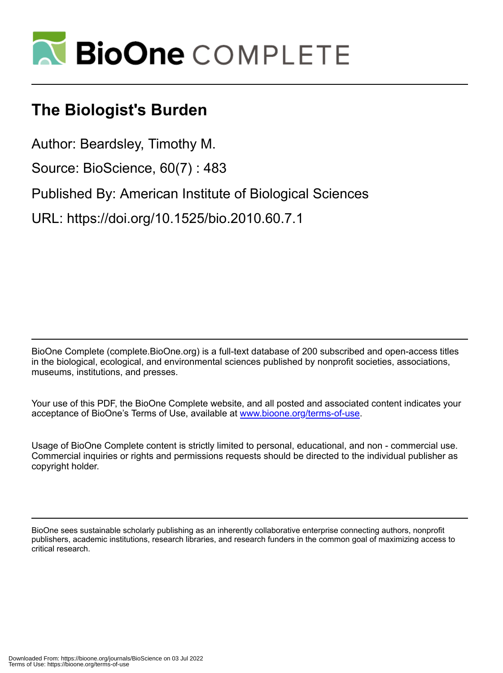

## **The Biologist's Burden**

Author: Beardsley, Timothy M.

Source: BioScience, 60(7) : 483

Published By: American Institute of Biological Sciences

URL: https://doi.org/10.1525/bio.2010.60.7.1

BioOne Complete (complete.BioOne.org) is a full-text database of 200 subscribed and open-access titles in the biological, ecological, and environmental sciences published by nonprofit societies, associations, museums, institutions, and presses.

Your use of this PDF, the BioOne Complete website, and all posted and associated content indicates your acceptance of BioOne's Terms of Use, available at www.bioone.org/terms-of-use.

Usage of BioOne Complete content is strictly limited to personal, educational, and non - commercial use. Commercial inquiries or rights and permissions requests should be directed to the individual publisher as copyright holder.

BioOne sees sustainable scholarly publishing as an inherently collaborative enterprise connecting authors, nonprofit publishers, academic institutions, research libraries, and research funders in the common goal of maximizing access to critical research.